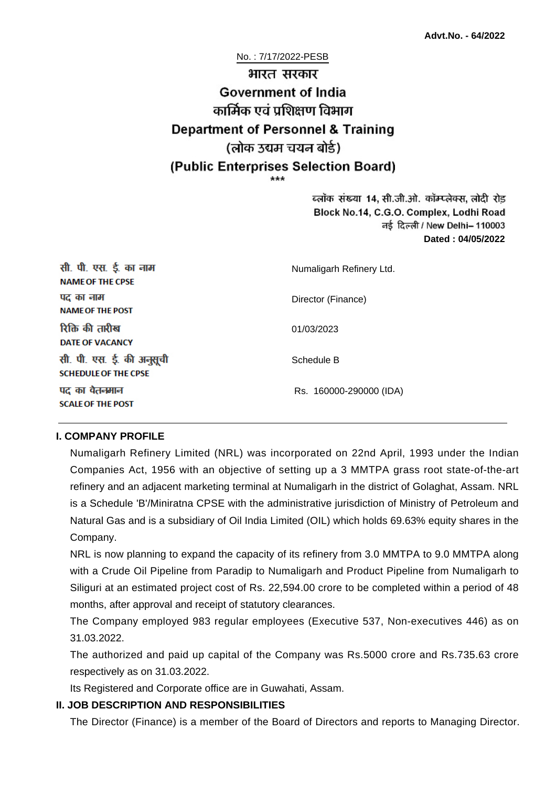# No. : 7/17/2022-PESB भारत सरकार **Government of India** कार्मिक एवं पशिक्षण विभाग **Department of Personnel & Training** (लोक उद्यम चयन बोर्ड) (Public Enterprises Selection Board)

ब्लॉक संख्या 14, सी.जी.ओ. कॉम्प्लेक्स, लोदी रोड Block No.14, C.G.O. Complex, Lodhi Road ਰई दिल्ली / New Delhi– 110003 **Dated : 04/05/2022**

| सी. पी. एस. ई. का नाम<br><b>NAME OF THE CPSE</b>         | Numaligarh Refinery Ltd. |
|----------------------------------------------------------|--------------------------|
| पद का नाम<br><b>NAME OF THE POST</b>                     | Director (Finance)       |
| रिक्ति की तारीख<br><b>DATE OF VACANCY</b>                | 01/03/2023               |
| सी. पी. एस. ई. की अनुसूची<br><b>SCHEDULE OF THE CPSE</b> | Schedule B               |
| पद का वेतनमान<br><b>SCALE OF THE POST</b>                | Rs. 160000-290000 (IDA)  |

#### **I. COMPANY PROFILE**

Numaligarh Refinery Limited (NRL) was incorporated on 22nd April, 1993 under the Indian Companies Act, 1956 with an objective of setting up a 3 MMTPA grass root state-of-the-art refinery and an adjacent marketing terminal at Numaligarh in the district of Golaghat, Assam. NRL is a Schedule 'B'/Miniratna CPSE with the administrative jurisdiction of Ministry of Petroleum and Natural Gas and is a subsidiary of Oil India Limited (OIL) which holds 69.63% equity shares in the Company.

NRL is now planning to expand the capacity of its refinery from 3.0 MMTPA to 9.0 MMTPA along with a Crude Oil Pipeline from Paradip to Numaligarh and Product Pipeline from Numaligarh to Siliguri at an estimated project cost of Rs. 22,594.00 crore to be completed within a period of 48 months, after approval and receipt of statutory clearances.

The Company employed 983 regular employees (Executive 537, Non-executives 446) as on 31.03.2022.

The authorized and paid up capital of the Company was Rs.5000 crore and Rs.735.63 crore respectively as on 31.03.2022.

Its Registered and Corporate office are in Guwahati, Assam.

#### **II. JOB DESCRIPTION AND RESPONSIBILITIES**

The Director (Finance) is a member of the Board of Directors and reports to Managing Director.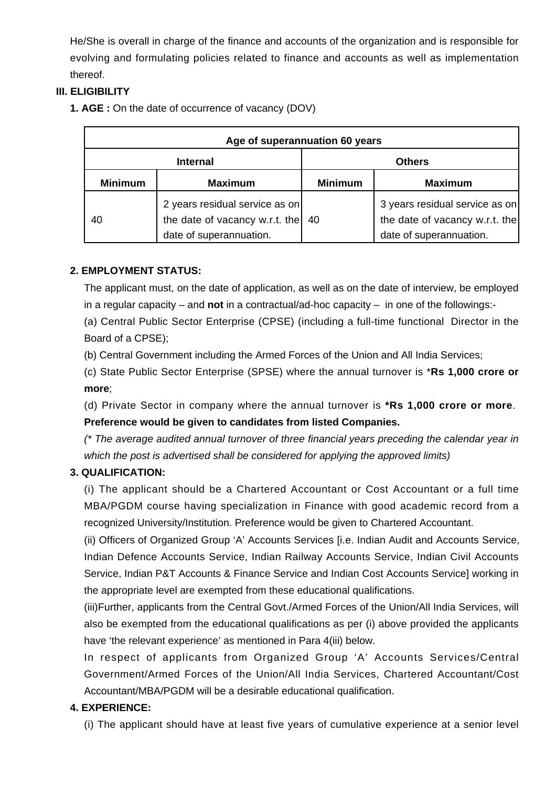He/She is overall in charge of the finance and accounts of the organization and is responsible for evolving and formulating policies related to finance and accounts as well as implementation thereof.

## **III. ELIGIBILITY**

**1. AGE :** On the date of occurrence of vacancy (DOV)

| Age of superannuation 60 years |                                                                                             |                |                                                                                             |
|--------------------------------|---------------------------------------------------------------------------------------------|----------------|---------------------------------------------------------------------------------------------|
| <b>Internal</b>                |                                                                                             | <b>Others</b>  |                                                                                             |
| <b>Minimum</b>                 | <b>Maximum</b>                                                                              | <b>Minimum</b> | <b>Maximum</b>                                                                              |
| 40                             | 2 years residual service as on<br>the date of vacancy w.r.t. the<br>date of superannuation. | 40             | 3 years residual service as on<br>the date of vacancy w.r.t. the<br>date of superannuation. |

## **2. EMPLOYMENT STATUS:**

The applicant must, on the date of application, as well as on the date of interview, be employed in a regular capacity – and **not** in a contractual/ad-hoc capacity – in one of the followings:-

(a) Central Public Sector Enterprise (CPSE) (including a full-time functional Director in the Board of a CPSE);

(b) Central Government including the Armed Forces of the Union and All India Services;

(c) State Public Sector Enterprise (SPSE) where the annual turnover is \***Rs 1,000 crore or more**;

(d) Private Sector in company where the annual turnover is **\*Rs 1,000 crore or more**. **Preference would be given to candidates from listed Companies.**

(\* The average audited annual turnover of three financial years preceding the calendar year in which the post is advertised shall be considered for applying the approved limits)

## **3. QUALIFICATION:**

(i) The applicant should be a Chartered Accountant or Cost Accountant or a full time MBA/PGDM course having specialization in Finance with good academic record from a recognized University/Institution. Preference would be given to Chartered Accountant.

(ii) Officers of Organized Group 'A' Accounts Services [i.e. Indian Audit and Accounts Service, Indian Defence Accounts Service, Indian Railway Accounts Service, Indian Civil Accounts Service, Indian P&T Accounts & Finance Service and Indian Cost Accounts Service] working in the appropriate level are exempted from these educational qualifications.

(iii)Further, applicants from the Central Govt./Armed Forces of the Union/All India Services, will also be exempted from the educational qualifications as per (i) above provided the applicants have 'the relevant experience' as mentioned in Para 4(iii) below.

In respect of applicants from Organized Group 'A' Accounts Services/Central Government/Armed Forces of the Union/All India Services, Chartered Accountant/Cost Accountant/MBA/PGDM will be a desirable educational qualification.

## **4. EXPERIENCE:**

(i) The applicant should have at least five years of cumulative experience at a senior level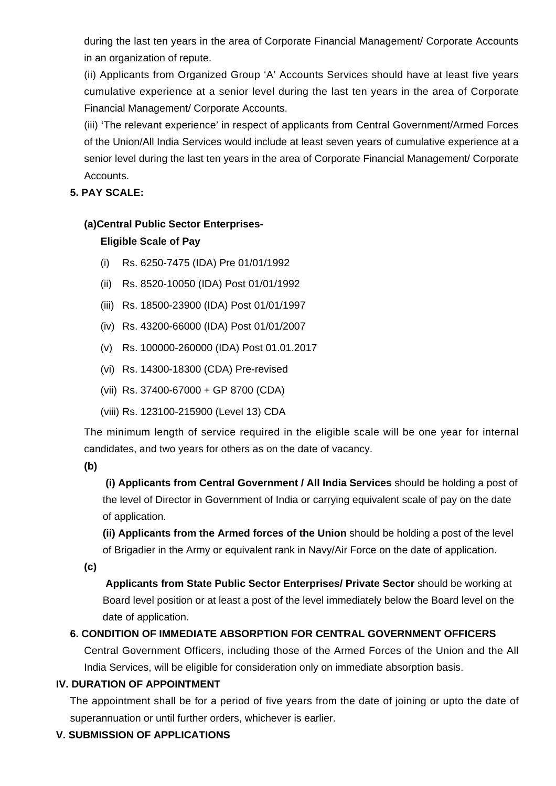during the last ten years in the area of Corporate Financial Management/ Corporate Accounts in an organization of repute.

(ii) Applicants from Organized Group 'A' Accounts Services should have at least five years cumulative experience at a senior level during the last ten years in the area of Corporate Financial Management/ Corporate Accounts.

(iii) 'The relevant experience' in respect of applicants from Central Government/Armed Forces of the Union/All India Services would include at least seven years of cumulative experience at a senior level during the last ten years in the area of Corporate Financial Management/ Corporate Accounts.

#### **5. PAY SCALE:**

#### **(a)Central Public Sector Enterprises-**

## **Eligible Scale of Pay**

- (i) Rs. 6250-7475 (IDA) Pre 01/01/1992
- (ii) Rs. 8520-10050 (IDA) Post 01/01/1992
- (iii) Rs. 18500-23900 (IDA) Post 01/01/1997
- (iv) Rs. 43200-66000 (IDA) Post 01/01/2007
- (v) Rs. 100000-260000 (IDA) Post 01.01.2017
- (vi) Rs. 14300-18300 (CDA) Pre-revised
- (vii) Rs. 37400-67000 + GP 8700 (CDA)
- (viii) Rs. 123100-215900 (Level 13) CDA

The minimum length of service required in the eligible scale will be one year for internal candidates, and two years for others as on the date of vacancy.

**(b)**

**(i) Applicants from Central Government / All India Services** should be holding a post of the level of Director in Government of India or carrying equivalent scale of pay on the date of application.

**(ii) Applicants from the Armed forces of the Union** should be holding a post of the level of Brigadier in the Army or equivalent rank in Navy/Air Force on the date of application.

**(c)**

 **Applicants from State Public Sector Enterprises/ Private Sector** should be working at Board level position or at least a post of the level immediately below the Board level on the date of application.

## **6. CONDITION OF IMMEDIATE ABSORPTION FOR CENTRAL GOVERNMENT OFFICERS**

Central Government Officers, including those of the Armed Forces of the Union and the All India Services, will be eligible for consideration only on immediate absorption basis.

#### **IV. DURATION OF APPOINTMENT**

The appointment shall be for a period of five years from the date of joining or upto the date of superannuation or until further orders, whichever is earlier.

## **V. SUBMISSION OF APPLICATIONS**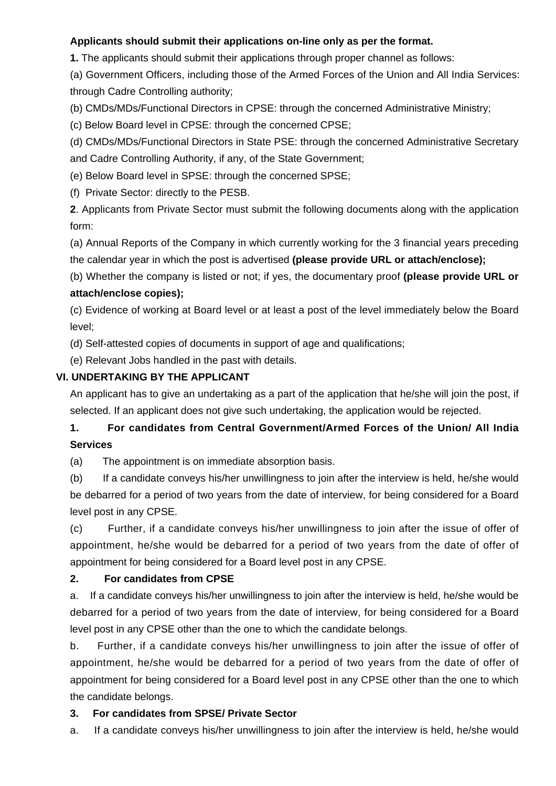#### **Applicants should submit their applications on-line only as per the format.**

**1.** The applicants should submit their applications through proper channel as follows:

(a) Government Officers, including those of the Armed Forces of the Union and All India Services: through Cadre Controlling authority;

(b) CMDs/MDs/Functional Directors in CPSE: through the concerned Administrative Ministry;

(c) Below Board level in CPSE: through the concerned CPSE;

(d) CMDs/MDs/Functional Directors in State PSE: through the concerned Administrative Secretary and Cadre Controlling Authority, if any, of the State Government;

(e) Below Board level in SPSE: through the concerned SPSE;

(f) Private Sector: directly to the PESB.

**2**. Applicants from Private Sector must submit the following documents along with the application form:

(a) Annual Reports of the Company in which currently working for the 3 financial years preceding the calendar year in which the post is advertised **(please provide URL or attach/enclose);**

(b) Whether the company is listed or not; if yes, the documentary proof **(please provide URL or attach/enclose copies);**

(c) Evidence of working at Board level or at least a post of the level immediately below the Board level;

(d) Self-attested copies of documents in support of age and qualifications;

(e) Relevant Jobs handled in the past with details.

#### **VI. UNDERTAKING BY THE APPLICANT**

An applicant has to give an undertaking as a part of the application that he/she will join the post, if selected. If an applicant does not give such undertaking, the application would be rejected.

## **1. For candidates from Central Government/Armed Forces of the Union/ All India Services**

(a) The appointment is on immediate absorption basis.

(b) If a candidate conveys his/her unwillingness to join after the interview is held, he/she would be debarred for a period of two years from the date of interview, for being considered for a Board level post in any CPSE.

(c) Further, if a candidate conveys his/her unwillingness to join after the issue of offer of appointment, he/she would be debarred for a period of two years from the date of offer of appointment for being considered for a Board level post in any CPSE.

## **2. For candidates from CPSE**

a. If a candidate conveys his/her unwillingness to join after the interview is held, he/she would be debarred for a period of two years from the date of interview, for being considered for a Board level post in any CPSE other than the one to which the candidate belongs.

b. Further, if a candidate conveys his/her unwillingness to join after the issue of offer of appointment, he/she would be debarred for a period of two years from the date of offer of appointment for being considered for a Board level post in any CPSE other than the one to which the candidate belongs.

#### **3. For candidates from SPSE/ Private Sector**

a. If a candidate conveys his/her unwillingness to join after the interview is held, he/she would